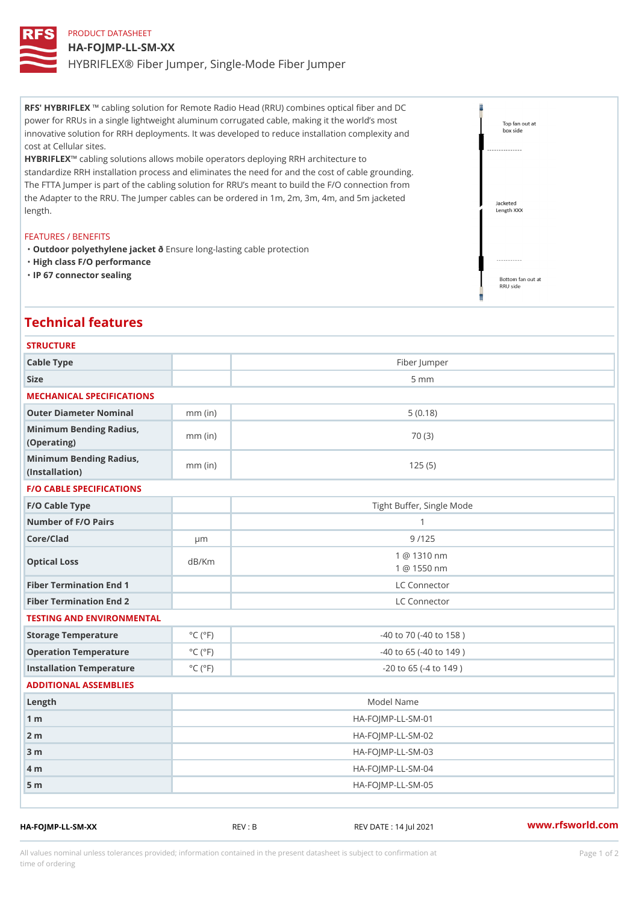# PRODUCT DATASHEET HA-FOJMP-LL-SM-XX HYBRIFLEX® Fiber Jumper, Single-Mode Fiber Jumper

RFS' HYBRIFLEX ing solution for Remote Radio Head (RRU) combines optical fiber and DC power for RRUs in a single lightweight aluminum corrugated cable, making it the world s most innovative solution for RRH deployments. It was developed to reduce installation complexity and cost at Cellular sites.

HYBRIFLEX bling solutions allows mobile operators deploying RRH architecture to standardize RRH installation process and eliminates the need for and the cost of cable grounding. The FTTA Jumper is part of the cabling solution for RRU s meant to build the F/O connection from the Adapter to the RRU. The Jumper cables can be ordered in 1m, 2m, 3m, 4m, and 5m jacketed length.

### FEATURES / BENEFITS

"Outdoor polyethylene jancskuente long-lasting cable protection "High class F/O performance "IP 67 connector sealing

## Technical features

| <b>STRUCTURE</b>                                  |                             |                                          |
|---------------------------------------------------|-----------------------------|------------------------------------------|
| Cable Type                                        |                             | Fiber Jumper                             |
| Size                                              |                             | 5 m m                                    |
| MECHANICAL SPECIFICATIONS                         |                             |                                          |
| Outer Diameter Nominal                            | $mm$ (in)                   | 5(0.18)                                  |
| Minimum Bending Radius, mm (in)<br>(Operating)    |                             | 70 (3)                                   |
| Minimum Bending Radius, mm (in)<br>(Installation) |                             | 125(5)                                   |
| <b>F/O CABLE SPECIFICATIONS</b>                   |                             |                                          |
| F/O Cable Type                                    |                             | Tight Buffer, Single Mode                |
| Number of F/O Pairs                               |                             | $\mathbf{1}$                             |
| Core/Clad                                         | $\mu$ m                     | 9/125                                    |
| Optical Loss                                      | dB/Km                       | @ 1310 nm<br>$\mathbf{1}$<br>1 @ 1550 nm |
| Fiber Termination End                             |                             | LC Connector                             |
| Fiber Termination End 2                           |                             | LC Connector                             |
| TESTING AND ENVIRONMENTAL                         |                             |                                          |
| Storage Temperature                               | $^{\circ}$ C ( $^{\circ}$ F | -40 to 70 (-40 to 158)                   |
| Operation Temperature                             | $^{\circ}$ C ( $^{\circ}$ F | $-40$ to 65 ( $-40$ to 149)              |
| Installation Temperature                          | $^{\circ}$ C ( $^{\circ}$ F | $-20$ to 65 ( $-4$ to 149)               |
| ADDITIONAL ASSEMBLIES                             |                             |                                          |
| Length                                            | Model Name                  |                                          |
| $1 \text{ m}$                                     | HA-FOJMP-LL-SM-01           |                                          |
| $2 \text{ m}$                                     | $HA-FOJMP-LL-SM-02$         |                                          |
| $3 \text{ m}$                                     |                             | $HA-FOJMP-LL-SM-03$                      |
| $4 \text{ m}$                                     |                             | $HA - FOJMP - LL - SM - 04$              |
| 5 <sub>m</sub>                                    |                             | $HA-FOJMP-LL-SM-05$                      |
|                                                   |                             |                                          |

HA-FOJMP-LL-SM-XX REV : B REV DATE : 14 Jul 2021 [www.](https://www.rfsworld.com)rfsworld.com